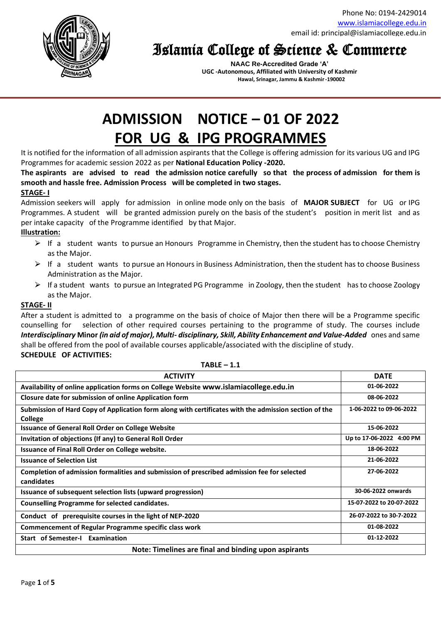Phone No: 0194-2429014 [www.islamiacollege.edu.in](http://www.islamiacollege.edu.in/) email id: principal@islamiacollege.edu.in



## Islamia College of Science & Commerce

**NAAC Re-Accredited Grade 'A' UGC -Autonomous, Affiliated with University of Kashmir Hawal, Srinagar, Jammu & Kashmir -190002**

# **ADMISSION NOTICE – 01 OF 2022 FOR UG & IPG PROGRAMMES**

It is notified for the information of all admission aspirants that the College is offering admission for its various UG and IPG Programmes for academic session 2022 as per **National Education Policy -2020.** 

**The aspirants are advised to read the admission notice carefully so that the process of admission for them is smooth and hassle free. Admission Process will be completed in two stages.**

### **STAGE- I**

Admission seekers will apply for admission in online mode only on the basis of **MAJOR SUBJECT** for UG or IPG Programmes. A student will be granted admission purely on the basis of the student's position in merit list and as per intake capacity of the Programme identified by that Major.

### **Illustration:**

- $\triangleright$  If a student wants to pursue an Honours Programme in Chemistry, then the student has to choose Chemistry as the Major.
- $\triangleright$  If a student wants to pursue an Honours in Business Administration, then the student has to choose Business Administration as the Major.
- ⮚ If a student wants to pursue an Integrated PG Programme in Zoology, then the student has to choose Zoology as the Major.

### **STAGE- II**

After a student is admitted to a programme on the basis of choice of Major then there will be a Programme specific counselling for selection of other required courses pertaining to the programme of study. The courses include *Interdisciplinary* **Minor** *(in aid of major), Multi- disciplinary, Skill, Ability Enhancement and Value-Added* ones and same shall be offered from the pool of available courses applicable/associated with the discipline of study. **SCHEDULE OF ACTIVITIES:**

| <b>ACTIVITY</b>                                                                                       | <b>DATE</b>              |  |  |
|-------------------------------------------------------------------------------------------------------|--------------------------|--|--|
| Availability of online application forms on College Website www.islamiacollege.edu.in                 | 01-06-2022               |  |  |
| Closure date for submission of online Application form                                                | 08-06-2022               |  |  |
| Submission of Hard Copy of Application form along with certificates with the admission section of the | 1-06-2022 to 09-06-2022  |  |  |
| <b>College</b>                                                                                        |                          |  |  |
| <b>Issuance of General Roll Order on College Website</b>                                              | 15-06-2022               |  |  |
| Invitation of objections (If any) to General Roll Order                                               | Up to 17-06-2022 4:00 PM |  |  |
| Issuance of Final Roll Order on College website.                                                      | 18-06-2022               |  |  |
| <b>Issuance of Selection List</b>                                                                     | 21-06-2022               |  |  |
| Completion of admission formalities and submission of prescribed admission fee for selected           | 27-06-2022               |  |  |
| candidates                                                                                            |                          |  |  |
| Issuance of subsequent selection lists (upward progression)                                           | 30-06-2022 onwards       |  |  |
| <b>Counselling Programme for selected candidates.</b>                                                 | 15-07-2022 to 20-07-2022 |  |  |
| Conduct of prerequisite courses in the light of NEP-2020                                              | 26-07-2022 to 30-7-2022  |  |  |
| <b>Commencement of Regular Programme specific class work</b>                                          | 01-08-2022               |  |  |
| <b>Start of Semester-I Examination</b>                                                                | 01-12-2022               |  |  |
| Note: Timelines are final and binding upon aspirants                                                  |                          |  |  |

**TABLE – 1.1**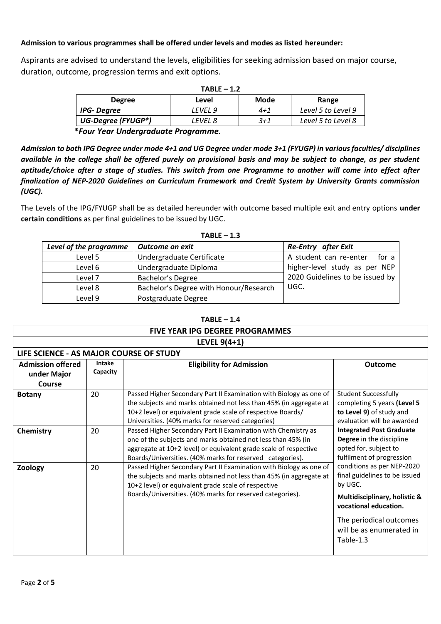### **Admission to various programmes shall be offered under levels and modes as listed hereunder:**

Aspirants are advised to understand the levels, eligibilities for seeking admission based on major course, duration, outcome, progression terms and exit options.

| $TABLE - 1.2$                       |         |         |                    |
|-------------------------------------|---------|---------|--------------------|
| <b>Degree</b>                       | Level   | Mode    | Range              |
| <b>IPG-Degree</b>                   | LEVEL 9 | $4 + 1$ | Level 5 to Level 9 |
| UG-Degree (FYUGP*)                  | LEVEL 8 | $3 + 1$ | Level 5 to Level 8 |
| *Four Year Undergraduate Programme. |         |         |                    |

*Admission to both IPG Degree under mode 4+1 and UG Degree under mode 3+1 (FYUGP) in various faculties/ disciplines available in the college shall be offered purely on provisional basis and may be subject to change, as per student aptitude/choice after a stage of studies. This switch from one Programme to another will come into effect after* 

*finalization of NEP-2020 Guidelines on Curriculum Framework and Credit System by University Grants commission (UGC).*

The Levels of the IPG/FYUGP shall be as detailed hereunder with outcome based multiple exit and entry options **under certain conditions** as per final guidelines to be issued by UGC.

| Level of the programme | Outcome on exit                        | <b>Re-Entry</b> after Exit      |  |
|------------------------|----------------------------------------|---------------------------------|--|
| Level 5                | Undergraduate Certificate              | A student can re-enter<br>for a |  |
| Level 6                | Undergraduate Diploma                  | higher-level study as per NEP   |  |
| Level 7                | Bachelor's Degree                      | 2020 Guidelines to be issued by |  |
| Level 8                | Bachelor's Degree with Honour/Research | UGC.                            |  |
| Level 9                | Postgraduate Degree                    |                                 |  |

| таь.<br>RI<br>. . |  |
|-------------------|--|
|-------------------|--|

| "ARLF |  |
|-------|--|
|-------|--|

| <b>FIVE YEAR IPG DEGREE PROGRAMMES</b>            |                           |                                                                                                                                                                                                                                                                |                                                                                                                                                                                                      |
|---------------------------------------------------|---------------------------|----------------------------------------------------------------------------------------------------------------------------------------------------------------------------------------------------------------------------------------------------------------|------------------------------------------------------------------------------------------------------------------------------------------------------------------------------------------------------|
| LEVEL $9(4+1)$                                    |                           |                                                                                                                                                                                                                                                                |                                                                                                                                                                                                      |
| LIFE SCIENCE - AS MAJOR COURSE OF STUDY           |                           |                                                                                                                                                                                                                                                                |                                                                                                                                                                                                      |
| <b>Admission offered</b><br>under Major<br>Course | <b>Intake</b><br>Capacity | <b>Eligibility for Admission</b>                                                                                                                                                                                                                               | <b>Outcome</b>                                                                                                                                                                                       |
| <b>Botany</b>                                     | 20                        | Passed Higher Secondary Part II Examination with Biology as one of<br>the subjects and marks obtained not less than 45% (in aggregate at<br>10+2 level) or equivalent grade scale of respective Boards/<br>Universities. (40% marks for reserved categories)   | <b>Student Successfully</b><br>completing 5 years (Level 5<br>to Level 9) of study and<br>evaluation will be awarded                                                                                 |
| Chemistry                                         | 20                        | Passed Higher Secondary Part II Examination with Chemistry as<br>one of the subjects and marks obtained not less than 45% (in<br>aggregate at 10+2 level) or equivalent grade scale of respective<br>Boards/Universities. (40% marks for reserved categories). | <b>Integrated Post Graduate</b><br>Degree in the discipline<br>opted for, subject to<br>fulfilment of progression                                                                                    |
| Zoology                                           | 20                        | Passed Higher Secondary Part II Examination with Biology as one of<br>the subjects and marks obtained not less than 45% (in aggregate at<br>10+2 level) or equivalent grade scale of respective<br>Boards/Universities. (40% marks for reserved categories).   | conditions as per NEP-2020<br>final guidelines to be issued<br>by UGC.<br>Multidisciplinary, holistic &<br>vocational education.<br>The periodical outcomes<br>will be as enumerated in<br>Table-1.3 |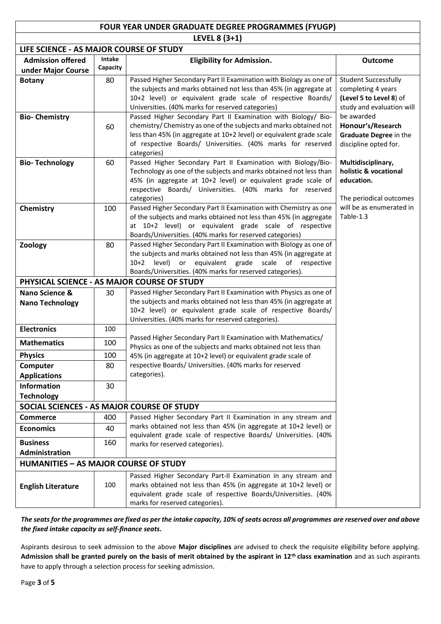### **FOUR YEAR UNDER GRADUATE DEGREE PROGRAMMES (FYUGP)**

**LEVEL 8 (3+1)**

| LIFE SCIENCE - AS MAJOR COURSE OF STUDY      |               |                                                                                                                                                                                                                                        |                                                     |
|----------------------------------------------|---------------|----------------------------------------------------------------------------------------------------------------------------------------------------------------------------------------------------------------------------------------|-----------------------------------------------------|
| <b>Admission offered</b>                     | <b>Intake</b> | <b>Eligibility for Admission.</b>                                                                                                                                                                                                      | <b>Outcome</b>                                      |
| under Major Course                           | Capacity      |                                                                                                                                                                                                                                        |                                                     |
| <b>Botany</b>                                | 80            | Passed Higher Secondary Part II Examination with Biology as one of                                                                                                                                                                     | <b>Student Successfully</b>                         |
|                                              |               | the subjects and marks obtained not less than 45% (in aggregate at                                                                                                                                                                     | completing 4 years                                  |
|                                              |               | 10+2 level) or equivalent grade scale of respective Boards/                                                                                                                                                                            | (Level 5 to Level 8) of                             |
|                                              |               | Universities. (40% marks for reserved categories)                                                                                                                                                                                      | study and evaluation will                           |
| <b>Bio-Chemistry</b>                         |               | Passed Higher Secondary Part II Examination with Biology/ Bio-                                                                                                                                                                         | be awarded                                          |
|                                              | 60            | chemistry/ Chemistry as one of the subjects and marks obtained not<br>less than 45% (in aggregate at 10+2 level) or equivalent grade scale                                                                                             | Honour's/Research<br>Graduate Degree in the         |
|                                              |               | of respective Boards/ Universities. (40% marks for reserved                                                                                                                                                                            | discipline opted for.                               |
|                                              |               | categories)                                                                                                                                                                                                                            |                                                     |
| <b>Bio-Technology</b>                        | 60            | Passed Higher Secondary Part II Examination with Biology/Bio-                                                                                                                                                                          | Multidisciplinary,                                  |
|                                              |               | Technology as one of the subjects and marks obtained not less than                                                                                                                                                                     | holistic & vocational                               |
|                                              |               | 45% (in aggregate at 10+2 level) or equivalent grade scale of                                                                                                                                                                          | education.                                          |
|                                              |               | respective Boards/ Universities. (40% marks for reserved                                                                                                                                                                               |                                                     |
|                                              |               | categories)                                                                                                                                                                                                                            | The periodical outcomes<br>will be as enumerated in |
| Chemistry                                    | 100           | Passed Higher Secondary Part II Examination with Chemistry as one<br>of the subjects and marks obtained not less than 45% (in aggregate                                                                                                | Table-1.3                                           |
|                                              |               | at 10+2 level) or equivalent grade scale of respective                                                                                                                                                                                 |                                                     |
|                                              |               | Boards/Universities. (40% marks for reserved categories)                                                                                                                                                                               |                                                     |
| Zoology                                      | 80            | Passed Higher Secondary Part II Examination with Biology as one of                                                                                                                                                                     |                                                     |
|                                              |               | the subjects and marks obtained not less than 45% (in aggregate at                                                                                                                                                                     |                                                     |
|                                              |               | 10+2 level) or equivalent grade scale of respective                                                                                                                                                                                    |                                                     |
|                                              |               | Boards/Universities. (40% marks for reserved categories).                                                                                                                                                                              |                                                     |
|                                              |               | PHYSICAL SCIENCE - AS MAJOR COURSE OF STUDY                                                                                                                                                                                            |                                                     |
| Nano Science &                               | 30            | Passed Higher Secondary Part II Examination with Physics as one of                                                                                                                                                                     |                                                     |
| <b>Nano Technology</b>                       |               | the subjects and marks obtained not less than 45% (in aggregate at<br>10+2 level) or equivalent grade scale of respective Boards/                                                                                                      |                                                     |
|                                              |               | Universities. (40% marks for reserved categories).                                                                                                                                                                                     |                                                     |
| <b>Electronics</b>                           | 100           |                                                                                                                                                                                                                                        |                                                     |
| <b>Mathematics</b>                           | 100           | Passed Higher Secondary Part II Examination with Mathematics/                                                                                                                                                                          |                                                     |
|                                              |               | Physics as one of the subjects and marks obtained not less than                                                                                                                                                                        |                                                     |
| <b>Physics</b>                               | 100           | 45% (in aggregate at 10+2 level) or equivalent grade scale of                                                                                                                                                                          |                                                     |
| Computer                                     | 80            | respective Boards/ Universities. (40% marks for reserved<br>categories).                                                                                                                                                               |                                                     |
| <b>Applications</b>                          |               |                                                                                                                                                                                                                                        |                                                     |
| <b>Information</b>                           | 30            |                                                                                                                                                                                                                                        |                                                     |
| <b>Technology</b>                            |               | SOCIAL SCIENCES - AS MAJOR COURSE OF STUDY                                                                                                                                                                                             |                                                     |
| <b>Commerce</b>                              | 400           | Passed Higher Secondary Part II Examination in any stream and                                                                                                                                                                          |                                                     |
|                                              |               | marks obtained not less than 45% (in aggregate at 10+2 level) or                                                                                                                                                                       |                                                     |
| <b>Economics</b>                             | 40            | equivalent grade scale of respective Boards/ Universities. (40%                                                                                                                                                                        |                                                     |
| <b>Business</b>                              | 160           | marks for reserved categories).                                                                                                                                                                                                        |                                                     |
| Administration                               |               |                                                                                                                                                                                                                                        |                                                     |
| <b>HUMANITIES - AS MAJOR COURSE OF STUDY</b> |               |                                                                                                                                                                                                                                        |                                                     |
| <b>English Literature</b>                    | 100           | Passed Higher Secondary Part-II Examination in any stream and<br>marks obtained not less than 45% (in aggregate at 10+2 level) or<br>equivalent grade scale of respective Boards/Universities. (40%<br>marks for reserved categories). |                                                     |

*The seats for the programmes are fixed as per the intake capacity, 10% of seats across all programmes are reserved over and above the fixed intake capacity as self-finance seats.*

Aspirants desirous to seek admission to the above **Major disciplines** are advised to check the requisite eligibility before applying. **Admission shall be granted purely on the basis of merit obtained by the aspirant in 12th class examination** and as such aspirants have to apply through a selection process for seeking admission.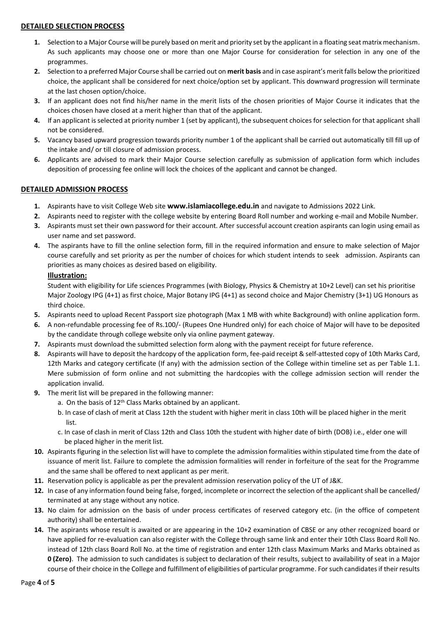### **DETAILED SELECTION PROCESS**

- **1.** Selection to a Major Course will be purely based on merit and priority set by the applicant in a floating seat matrix mechanism. As such applicants may choose one or more than one Major Course for consideration for selection in any one of the programmes.
- **2.** Selection to a preferred Major Course shall be carried out on **merit basis** and in case aspirant's merit falls below the prioritized choice, the applicant shall be considered for next choice/option set by applicant. This downward progression will terminate at the last chosen option/choice.
- **3.** If an applicant does not find his/her name in the merit lists of the chosen priorities of Major Course it indicates that the choices chosen have closed at a merit higher than that of the applicant.
- **4.** If an applicant is selected at priority number 1 (set by applicant), the subsequent choices for selection for that applicant shall not be considered.
- **5.** Vacancy based upward progression towards priority number 1 of the applicant shall be carried out automatically till fill up of the intake and/ or till closure of admission process.
- **6.** Applicants are advised to mark their Major Course selection carefully as submission of application form which includes deposition of processing fee online will lock the choices of the applicant and cannot be changed.

### **DETAILED ADMISSION PROCESS**

- **1.** Aspirants have to visit College Web site **[www.islamiacollege.edu.in](http://www.islamiacollege.edu.in/)** and navigate to Admissions 2022 Link.
- **2.** Aspirants need to register with the college website by entering Board Roll number and working e-mail and Mobile Number.
- **3.** Aspirants must set their own password for their account. After successful account creation aspirants can login using email as user name and set password.
- **4.** The aspirants have to fill the online selection form, fill in the required information and ensure to make selection of Major course carefully and set priority as per the number of choices for which student intends to seek admission. Aspirants can priorities as many choices as desired based on eligibility.

### **Illustration:**

Student with eligibility for Life sciences Programmes (with Biology, Physics & Chemistry at 10+2 Level) can set his prioritise Major Zoology IPG (4+1) as first choice, Major Botany IPG (4+1) as second choice and Major Chemistry (3+1) UG Honours as third choice.

- **5.** Aspirants need to upload Recent Passport size photograph (Max 1 MB with white Background) with online application form.
- **6.** A non-refundable processing fee of Rs.100/- (Rupees One Hundred only) for each choice of Major will have to be deposited by the candidate through college website only via online payment gateway.
- **7.** Aspirants must download the submitted selection form along with the payment receipt for future reference.
- **8.** Aspirants will have to deposit the hardcopy of the application form, fee-paid receipt & self-attested copy of 10th Marks Card, 12th Marks and category certificate (If any) with the admission section of the College within timeline set as per Table 1.1. Mere submission of form online and not submitting the hardcopies with the college admission section will render the application invalid.
- **9.** The merit list will be prepared in the following manner:
	- a. On the basis of 12<sup>th</sup> Class Marks obtained by an applicant.
	- b. In case of clash of merit at Class 12th the student with higher merit in class 10th will be placed higher in the merit list.
	- c. In case of clash in merit of Class 12th and Class 10th the student with higher date of birth (DOB) i.e., elder one will be placed higher in the merit list.
- **10.** Aspirants figuring in the selection list will have to complete the admission formalities within stipulated time from the date of issuance of merit list. Failure to complete the admission formalities will render in forfeiture of the seat for the Programme and the same shall be offered to next applicant as per merit.
- **11.** Reservation policy is applicable as per the prevalent admission reservation policy of the UT of J&K.
- **12.** In case of any information found being false, forged, incomplete or incorrect the selection of the applicant shall be cancelled/ terminated at any stage without any notice.
- **13.** No claim for admission on the basis of under process certificates of reserved category etc. (in the office of competent authority) shall be entertained.
- **14.** The aspirants whose result is awaited or are appearing in the 10+2 examination of CBSE or any other recognized board or have applied for re-evaluation can also register with the College through same link and enter their 10th Class Board Roll No. instead of 12th class Board Roll No. at the time of registration and enter 12th class Maximum Marks and Marks obtained as **0 (Zero)**. The admission to such candidates is subject to declaration of their results, subject to availability of seat in a Major course of their choice in the College and fulfillment of eligibilities of particular programme. For such candidates if their results